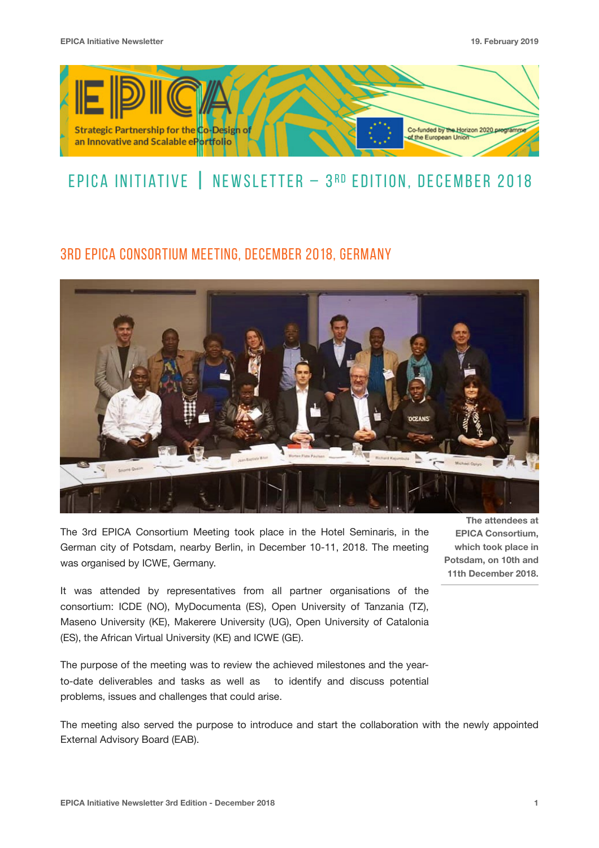

# EPICA INITIATIVE  $\parallel$  Newsletter – 3RD edition, December 2018

## 3rd EPICA Consortium Meeting, December 2018, Germany



The 3rd EPICA Consortium Meeting took place in the Hotel Seminaris, in the German city of Potsdam, nearby Berlin, in December 10-11, 2018. The meeting was organised by ICWE, Germany.

It was attended by representatives from all partner organisations of the consortium: ICDE (NO), MyDocumenta (ES), Open University of Tanzania (TZ), Maseno University (KE), Makerere University (UG), Open University of Catalonia (ES), the African Virtual University (KE) and ICWE (GE).

The purpose of the meeting was to review the achieved milestones and the yearto-date deliverables and tasks as well as to identify and discuss potential problems, issues and challenges that could arise.

The meeting also served the purpose to introduce and start the collaboration with the newly appointed External Advisory Board (EAB).

**The attendees at EPICA Consortium, which took place in Potsdam, on 10th and 11th December 2018.**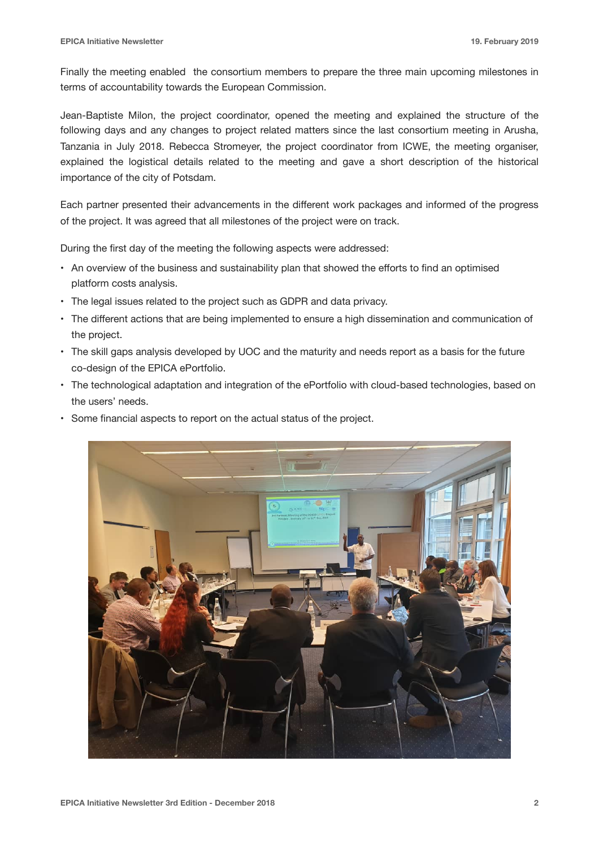Finally the meeting enabled the consortium members to prepare the three main upcoming milestones in terms of accountability towards the European Commission.

Jean-Baptiste Milon, the project coordinator, opened the meeting and explained the structure of the following days and any changes to project related matters since the last consortium meeting in Arusha, Tanzania in July 2018. Rebecca Stromeyer, the project coordinator from ICWE, the meeting organiser, explained the logistical details related to the meeting and gave a short description of the historical importance of the city of Potsdam.

Each partner presented their advancements in the different work packages and informed of the progress of the project. It was agreed that all milestones of the project were on track.

During the first day of the meeting the following aspects were addressed:

- An overview of the business and sustainability plan that showed the efforts to find an optimised platform costs analysis.
- The legal issues related to the project such as GDPR and data privacy.
- The different actions that are being implemented to ensure a high dissemination and communication of the project.
- The skill gaps analysis developed by UOC and the maturity and needs report as a basis for the future co-design of the EPICA ePortfolio.
- The technological adaptation and integration of the ePortfolio with cloud-based technologies, based on the users' needs.
- Some financial aspects to report on the actual status of the project.

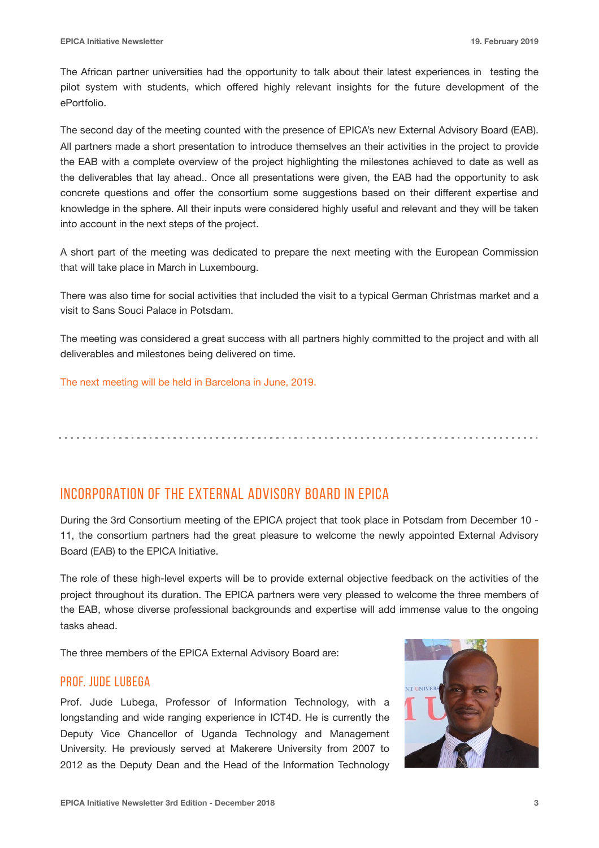The African partner universities had the opportunity to talk about their latest experiences in testing the pilot system with students, which offered highly relevant insights for the future development of the ePortfolio.

The second day of the meeting counted with the presence of EPICA's new External Advisory Board (EAB). All partners made a short presentation to introduce themselves an their activities in the project to provide the EAB with a complete overview of the project highlighting the milestones achieved to date as well as the deliverables that lay ahead.. Once all presentations were given, the EAB had the opportunity to ask concrete questions and offer the consortium some suggestions based on their different expertise and knowledge in the sphere. All their inputs were considered highly useful and relevant and they will be taken into account in the next steps of the project.

A short part of the meeting was dedicated to prepare the next meeting with the European Commission that will take place in March in Luxembourg.

There was also time for social activities that included the visit to a typical German Christmas market and a visit to Sans Souci Palace in Potsdam.

The meeting was considered a great success with all partners highly committed to the project and with all deliverables and milestones being delivered on time.

The next meeting will be held in Barcelona in June, 2019.

Incorporation of the External Advisory Board in EPICA

During the 3rd Consortium meeting of the EPICA project that took place in Potsdam from December 10 - 11, the consortium partners had the great pleasure to welcome the newly appointed External Advisory Board (EAB) to the EPICA Initiative.

The role of these high-level experts will be to provide external objective feedback on the activities of the project throughout its duration. The EPICA partners were very pleased to welcome the three members of the EAB, whose diverse professional backgrounds and expertise will add immense value to the ongoing tasks ahead.

The three members of the EPICA External Advisory Board are:

#### Prof. Jude Lubega

Prof. Jude Lubega, Professor of Information Technology, with a longstanding and wide ranging experience in ICT4D. He is currently the Deputy Vice Chancellor of Uganda Technology and Management University. He previously served at Makerere University from 2007 to 2012 as the Deputy Dean and the Head of the Information Technology

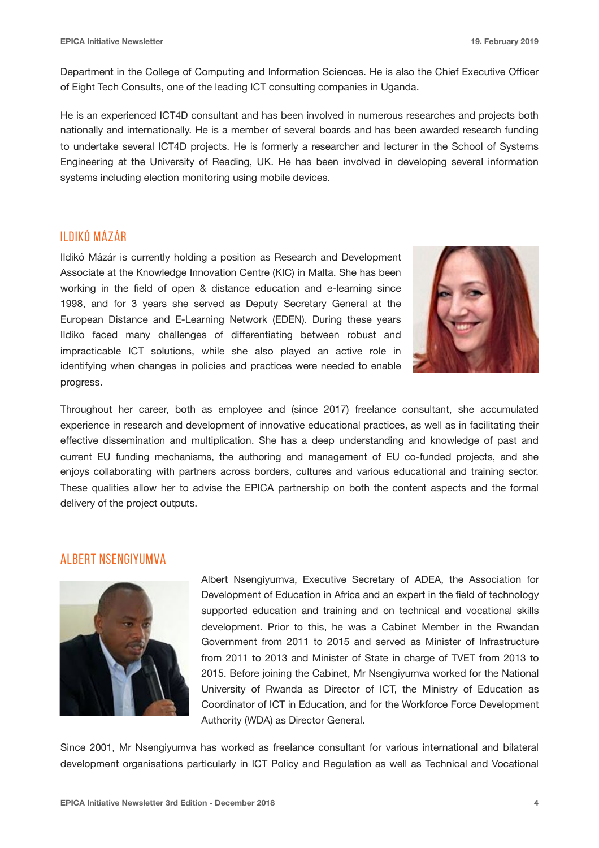Department in the College of Computing and Information Sciences. He is also the Chief Executive Officer of Eight Tech Consults, one of the leading ICT consulting companies in Uganda.

He is an experienced ICT4D consultant and has been involved in numerous researches and projects both nationally and internationally. He is a member of several boards and has been awarded research funding to undertake several ICT4D projects. He is formerly a researcher and lecturer in the School of Systems Engineering at the University of Reading, UK. He has been involved in developing several information systems including election monitoring using mobile devices.

### II DIKÓ MÁZÁR

Ildikó Mázár is currently holding a position as Research and Development Associate at the Knowledge Innovation Centre (KIC) in Malta. She has been working in the field of open & distance education and e-learning since 1998, and for 3 years she served as Deputy Secretary General at the European Distance and E-Learning Network (EDEN). During these years Ildiko faced many challenges of differentiating between robust and impracticable ICT solutions, while she also played an active role in identifying when changes in policies and practices were needed to enable progress.



Throughout her career, both as employee and (since 2017) freelance consultant, she accumulated experience in research and development of innovative educational practices, as well as in facilitating their effective dissemination and multiplication. She has a deep understanding and knowledge of past and current EU funding mechanisms, the authoring and management of EU co-funded projects, and she enjoys collaborating with partners across borders, cultures and various educational and training sector. These qualities allow her to advise the EPICA partnership on both the content aspects and the formal delivery of the project outputs.

### ALBERT NSENGIYUMVA



Albert Nsengiyumva, Executive Secretary of ADEA, the Association for Development of Education in Africa and an expert in the field of technology supported education and training and on technical and vocational skills development. Prior to this, he was a Cabinet Member in the Rwandan Government from 2011 to 2015 and served as Minister of Infrastructure from 2011 to 2013 and Minister of State in charge of TVET from 2013 to 2015. Before joining the Cabinet, Mr Nsengiyumva worked for the National University of Rwanda as Director of ICT, the Ministry of Education as Coordinator of ICT in Education, and for the Workforce Force Development Authority (WDA) as Director General.

Since 2001, Mr Nsengiyumva has worked as freelance consultant for various international and bilateral development organisations particularly in ICT Policy and Regulation as well as Technical and Vocational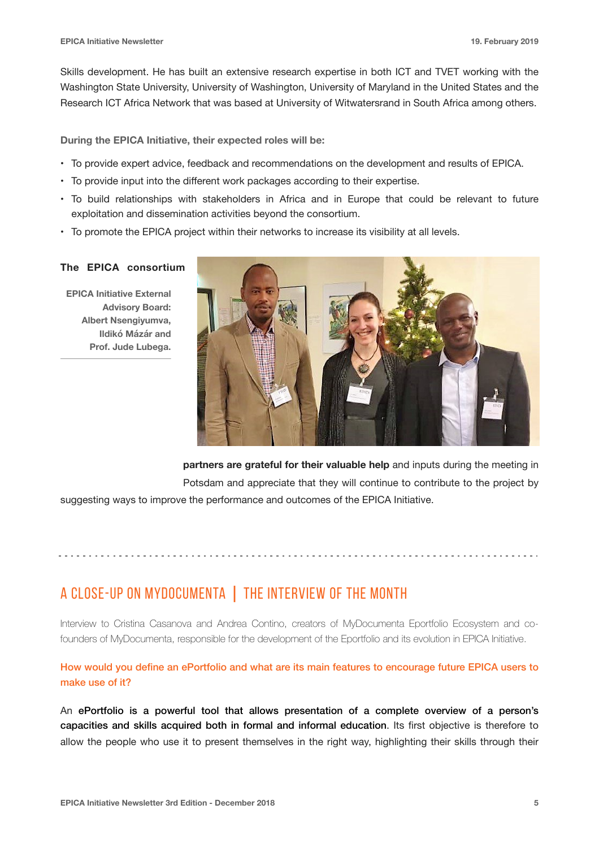Skills development. He has built an extensive research expertise in both ICT and TVET working with the Washington State University, University of Washington, University of Maryland in the United States and the Research ICT Africa Network that was based at University of Witwatersrand in South Africa among others.

**During the EPICA Initiative, their expected roles will be:** 

- To provide expert advice, feedback and recommendations on the development and results of EPICA.
- To provide input into the different work packages according to their expertise.
- To build relationships with stakeholders in Africa and in Europe that could be relevant to future exploitation and dissemination activities beyond the consortium.
- To promote the EPICA project within their networks to increase its visibility at all levels.

#### **The EPICA consortium**

**EPICA Initiative External Advisory Board: Albert Nsengiyumva, Ildikó Mázár and Prof. Jude Lubega.**



**partners are grateful for their valuable help** and inputs during the meeting in Potsdam and appreciate that they will continue to contribute to the project by suggesting ways to improve the performance and outcomes of the EPICA Initiative.

## A CLOSE-UP ON MYDOCUMENTA | THE INTERVIEW OF THE MONTH

Interview to Cristina Casanova and Andrea Contino, creators of MyDocumenta Eportfolio Ecosystem and cofounders of MyDocumenta, responsible for the development of the Eportfolio and its evolution in EPICA Initiative.

How would you define an ePortfolio and what are its main features to encourage future EPICA users to make use of it?

An ePortfolio is a powerful tool that allows presentation of a complete overview of a person's capacities and skills acquired both in formal and informal education. Its first objective is therefore to allow the people who use it to present themselves in the right way, highlighting their skills through their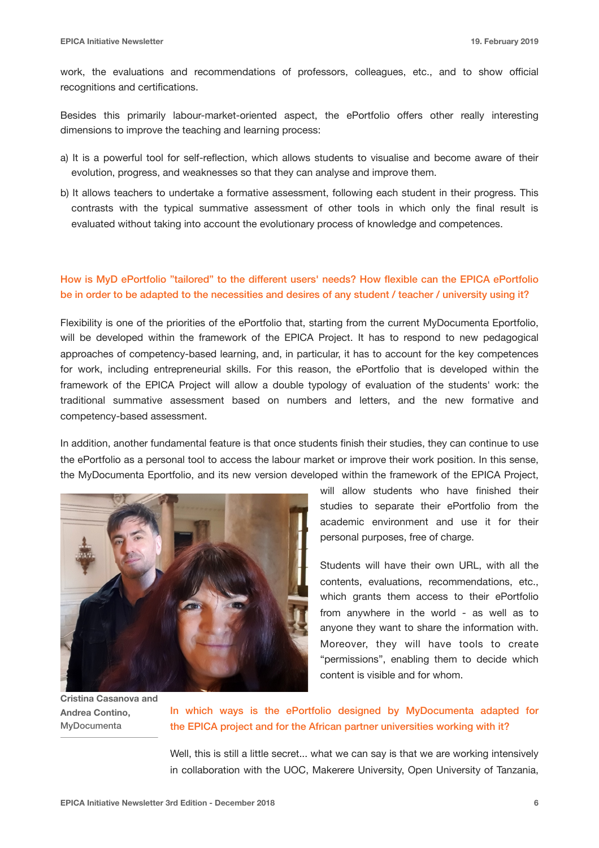work, the evaluations and recommendations of professors, colleagues, etc., and to show official recognitions and certifications.

Besides this primarily labour-market-oriented aspect, the ePortfolio offers other really interesting dimensions to improve the teaching and learning process:

- a) It is a powerful tool for self-reflection, which allows students to visualise and become aware of their evolution, progress, and weaknesses so that they can analyse and improve them.
- b) It allows teachers to undertake a formative assessment, following each student in their progress. This contrasts with the typical summative assessment of other tools in which only the final result is evaluated without taking into account the evolutionary process of knowledge and competences.

#### How is MyD ePortfolio "tailored" to the different users' needs? How flexible can the EPICA ePortfolio be in order to be adapted to the necessities and desires of any student / teacher / university using it?

Flexibility is one of the priorities of the ePortfolio that, starting from the current MyDocumenta Eportfolio, will be developed within the framework of the EPICA Project. It has to respond to new pedagogical approaches of competency-based learning, and, in particular, it has to account for the key competences for work, including entrepreneurial skills. For this reason, the ePortfolio that is developed within the framework of the EPICA Project will allow a double typology of evaluation of the students' work: the traditional summative assessment based on numbers and letters, and the new formative and competency-based assessment.

In addition, another fundamental feature is that once students finish their studies, they can continue to use the ePortfolio as a personal tool to access the labour market or improve their work position. In this sense, the MyDocumenta Eportfolio, and its new version developed within the framework of the EPICA Project,



**Cristina Casanova and Andrea Contino,**  MyDocumenta

will allow students who have finished their studies to separate their ePortfolio from the academic environment and use it for their personal purposes, free of charge.

Students will have their own URL, with all the contents, evaluations, recommendations, etc., which grants them access to their ePortfolio from anywhere in the world - as well as to anyone they want to share the information with. Moreover, they will have tools to create "permissions", enabling them to decide which content is visible and for whom.

In which ways is the ePortfolio designed by MyDocumenta adapted for the EPICA project and for the African partner universities working with it?

Well, this is still a little secret... what we can say is that we are working intensively in collaboration with the UOC, Makerere University, Open University of Tanzania,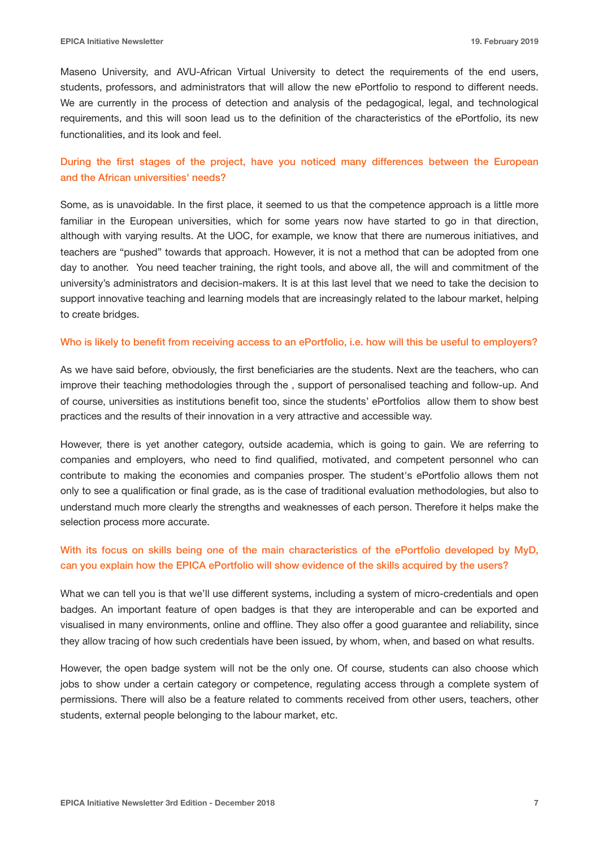Maseno University, and AVU-African Virtual University to detect the requirements of the end users, students, professors, and administrators that will allow the new ePortfolio to respond to different needs. We are currently in the process of detection and analysis of the pedagogical, legal, and technological requirements, and this will soon lead us to the definition of the characteristics of the ePortfolio, its new functionalities, and its look and feel.

#### During the first stages of the project, have you noticed many differences between the European and the African universities' needs?

Some, as is unavoidable. In the first place, it seemed to us that the competence approach is a little more familiar in the European universities, which for some years now have started to go in that direction, although with varying results. At the UOC, for example, we know that there are numerous initiatives, and teachers are "pushed" towards that approach. However, it is not a method that can be adopted from one day to another. You need teacher training, the right tools, and above all, the will and commitment of the university's administrators and decision-makers. It is at this last level that we need to take the decision to support innovative teaching and learning models that are increasingly related to the labour market, helping to create bridges.

#### Who is likely to benefit from receiving access to an ePortfolio, i.e. how will this be useful to employers?

As we have said before, obviously, the first beneficiaries are the students. Next are the teachers, who can improve their teaching methodologies through the , support of personalised teaching and follow-up. And of course, universities as institutions benefit too, since the students' ePortfolios allow them to show best practices and the results of their innovation in a very attractive and accessible way.

However, there is yet another category, outside academia, which is going to gain. We are referring to companies and employers, who need to find qualified, motivated, and competent personnel who can contribute to making the economies and companies prosper. The student's ePortfolio allows them not only to see a qualification or final grade, as is the case of traditional evaluation methodologies, but also to understand much more clearly the strengths and weaknesses of each person. Therefore it helps make the selection process more accurate.

#### With its focus on skills being one of the main characteristics of the ePortfolio developed by MyD, can you explain how the EPICA ePortfolio will show evidence of the skills acquired by the users?

What we can tell you is that we'll use different systems, including a system of micro-credentials and open badges. An important feature of open badges is that they are interoperable and can be exported and visualised in many environments, online and offline. They also offer a good guarantee and reliability, since they allow tracing of how such credentials have been issued, by whom, when, and based on what results.

However, the open badge system will not be the only one. Of course, students can also choose which jobs to show under a certain category or competence, regulating access through a complete system of permissions. There will also be a feature related to comments received from other users, teachers, other students, external people belonging to the labour market, etc.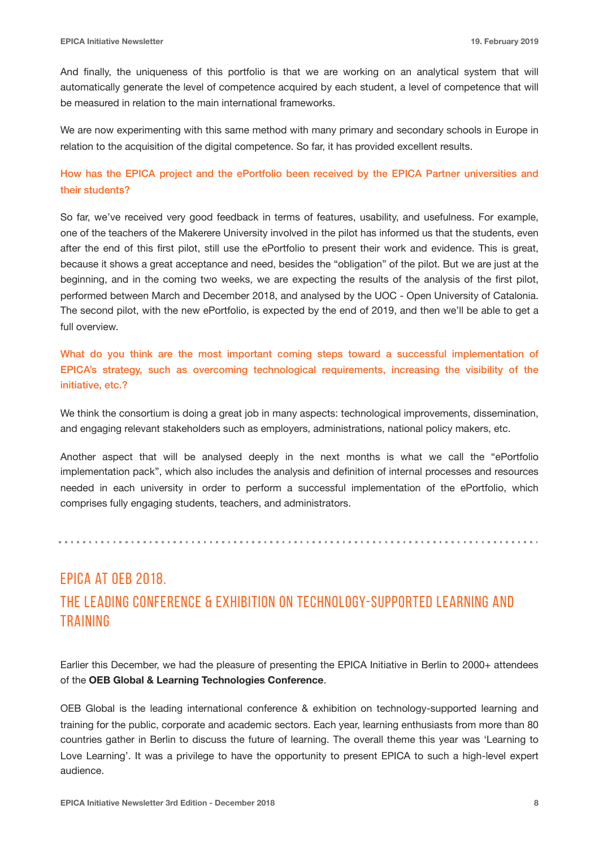And finally, the uniqueness of this portfolio is that we are working on an analytical system that will automatically generate the level of competence acquired by each student, a level of competence that will be measured in relation to the main international frameworks.

We are now experimenting with this same method with many primary and secondary schools in Europe in relation to the acquisition of the digital competence. So far, it has provided excellent results.

### How has the EPICA project and the ePortfolio been received by the EPICA Partner universities and their students?

So far, we've received very good feedback in terms of features, usability, and usefulness. For example, one of the teachers of the Makerere University involved in the pilot has informed us that the students, even after the end of this first pilot, still use the ePortfolio to present their work and evidence. This is great, because it shows a great acceptance and need, besides the "obligation" of the pilot. But we are just at the beginning, and in the coming two weeks, we are expecting the results of the analysis of the first pilot, performed between March and December 2018, and analysed by the UOC - Open University of Catalonia. The second pilot, with the new ePortfolio, is expected by the end of 2019, and then we'll be able to get a full overview.

What do you think are the most important coming steps toward a successful implementation of EPICA's strategy, such as overcoming technological requirements, increasing the visibility of the initiative, etc.?

We think the consortium is doing a great job in many aspects: technological improvements, dissemination, and engaging relevant stakeholders such as employers, administrations, national policy makers, etc.

Another aspect that will be analysed deeply in the next months is what we call the "ePortfolio implementation pack", which also includes the analysis and definition of internal processes and resources needed in each university in order to perform a successful implementation of the ePortfolio, which comprises fully engaging students, teachers, and administrators.

## EPICA at OEB 2018. the leading conference & exhibition on technology-supported learning and **TRAINING**

Earlier this December, we had the pleasure of presenting the EPICA Initiative in Berlin to 2000+ attendees of the **OEB Global & Learning Technologies Conference**.

OEB Global is the leading international conference & exhibition on technology-supported learning and training for the public, corporate and academic sectors. Each year, learning enthusiasts from more than 80 countries gather in Berlin to discuss the future of learning. The overall theme this year was 'Learning to Love Learning'. It was a privilege to have the opportunity to present EPICA to such a high-level expert audience.